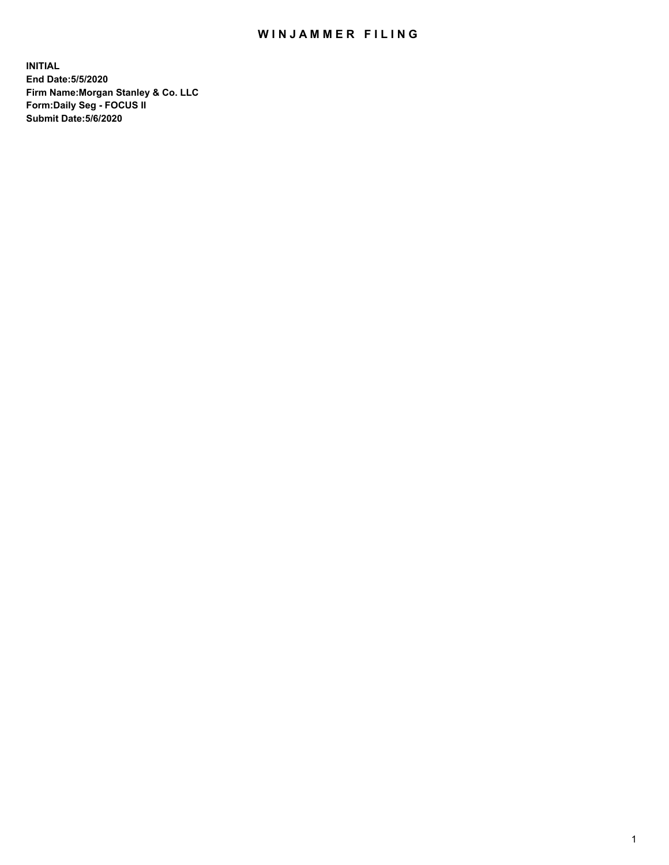## WIN JAMMER FILING

**INITIAL End Date:5/5/2020 Firm Name:Morgan Stanley & Co. LLC Form:Daily Seg - FOCUS II Submit Date:5/6/2020**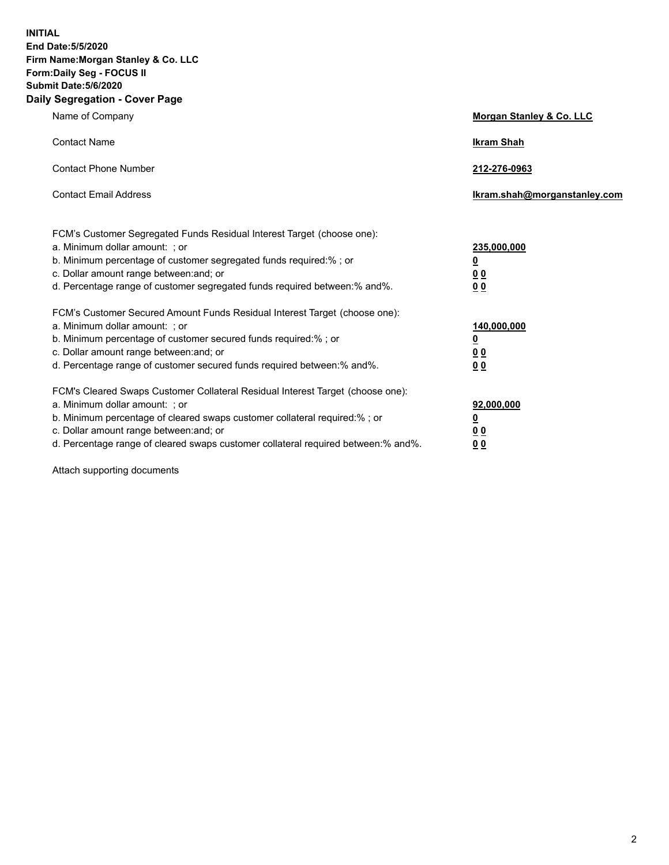**INITIAL End Date:5/5/2020 Firm Name:Morgan Stanley & Co. LLC Form:Daily Seg - FOCUS II Submit Date:5/6/2020 Daily Segregation - Cover Page**

| Name of Company                                                                                                                                                                                                                                                                                                                | Morgan Stanley & Co. LLC                                    |
|--------------------------------------------------------------------------------------------------------------------------------------------------------------------------------------------------------------------------------------------------------------------------------------------------------------------------------|-------------------------------------------------------------|
| <b>Contact Name</b>                                                                                                                                                                                                                                                                                                            | <b>Ikram Shah</b>                                           |
| <b>Contact Phone Number</b>                                                                                                                                                                                                                                                                                                    | 212-276-0963                                                |
| <b>Contact Email Address</b>                                                                                                                                                                                                                                                                                                   | lkram.shah@morganstanley.com                                |
| FCM's Customer Segregated Funds Residual Interest Target (choose one):<br>a. Minimum dollar amount: ; or<br>b. Minimum percentage of customer segregated funds required:% ; or<br>c. Dollar amount range between: and; or<br>d. Percentage range of customer segregated funds required between: % and %.                       | 235,000,000<br><u>0</u><br><u>00</u><br>0 Q                 |
| FCM's Customer Secured Amount Funds Residual Interest Target (choose one):<br>a. Minimum dollar amount: : or<br>b. Minimum percentage of customer secured funds required:%; or<br>c. Dollar amount range between: and; or<br>d. Percentage range of customer secured funds required between:% and%.                            | 140,000,000<br><u>0</u><br>0 <sub>0</sub><br>0 <sub>0</sub> |
| FCM's Cleared Swaps Customer Collateral Residual Interest Target (choose one):<br>a. Minimum dollar amount: ; or<br>b. Minimum percentage of cleared swaps customer collateral required:% ; or<br>c. Dollar amount range between: and; or<br>d. Percentage range of cleared swaps customer collateral required between:% and%. | 92,000,000<br><u>0</u><br>0 Q<br>0 <sub>0</sub>             |

Attach supporting documents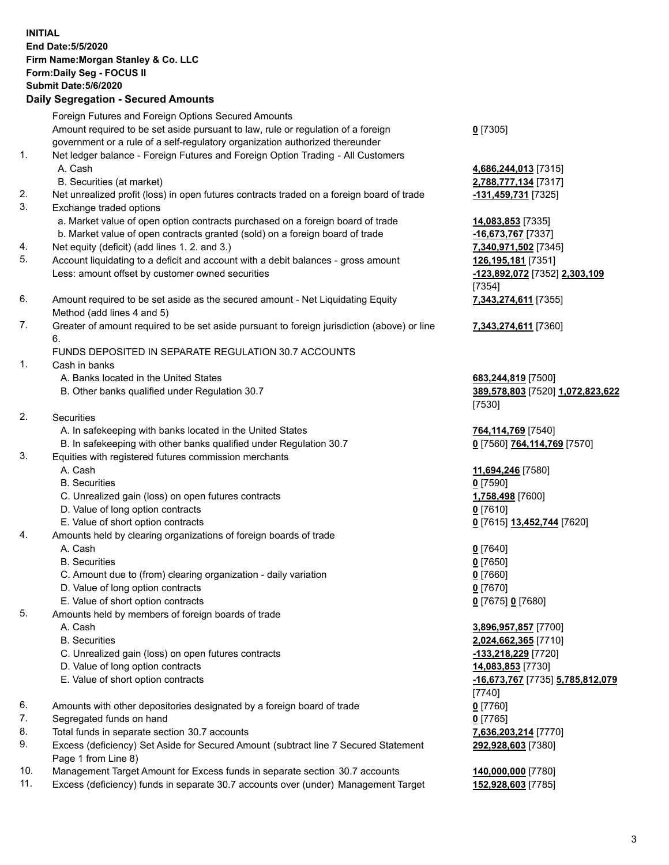|          | <b>INITIAL</b><br>End Date: 5/5/2020<br>Firm Name: Morgan Stanley & Co. LLC<br>Form: Daily Seg - FOCUS II<br><b>Submit Date: 5/6/2020</b><br><b>Daily Segregation - Secured Amounts</b> |                                             |
|----------|-----------------------------------------------------------------------------------------------------------------------------------------------------------------------------------------|---------------------------------------------|
|          | Foreign Futures and Foreign Options Secured Amounts                                                                                                                                     |                                             |
|          | Amount required to be set aside pursuant to law, rule or regulation of a foreign                                                                                                        | $0$ [7305]                                  |
|          | government or a rule of a self-regulatory organization authorized thereunder                                                                                                            |                                             |
| 1.       | Net ledger balance - Foreign Futures and Foreign Option Trading - All Customers                                                                                                         |                                             |
|          | A. Cash                                                                                                                                                                                 | 4,686,244,013 [7315]                        |
| 2.       | B. Securities (at market)<br>Net unrealized profit (loss) in open futures contracts traded on a foreign board of trade                                                                  | 2,788,777,134 [7317]<br>-131,459,731 [7325] |
| 3.       | Exchange traded options                                                                                                                                                                 |                                             |
|          | a. Market value of open option contracts purchased on a foreign board of trade                                                                                                          | 14,083,853 [7335]                           |
|          | b. Market value of open contracts granted (sold) on a foreign board of trade                                                                                                            | -16,673,767 [7337]                          |
| 4.       | Net equity (deficit) (add lines 1. 2. and 3.)                                                                                                                                           | 7,340,971,502 [7345]                        |
| 5.       | Account liquidating to a deficit and account with a debit balances - gross amount                                                                                                       | 126,195,181 [7351]                          |
|          | Less: amount offset by customer owned securities                                                                                                                                        | -123,892,072 [7352] 2,303,109               |
|          |                                                                                                                                                                                         | [7354]                                      |
| 6.       | Amount required to be set aside as the secured amount - Net Liquidating Equity                                                                                                          | 7,343,274,611 [7355]                        |
| 7.       | Method (add lines 4 and 5)<br>Greater of amount required to be set aside pursuant to foreign jurisdiction (above) or line                                                               |                                             |
|          | 6.                                                                                                                                                                                      | 7,343,274,611 [7360]                        |
|          | FUNDS DEPOSITED IN SEPARATE REGULATION 30.7 ACCOUNTS                                                                                                                                    |                                             |
| 1.       | Cash in banks                                                                                                                                                                           |                                             |
|          | A. Banks located in the United States                                                                                                                                                   | 683,244,819 [7500]                          |
|          | B. Other banks qualified under Regulation 30.7                                                                                                                                          | 389,578,803 [7520] 1,072,823,622            |
|          |                                                                                                                                                                                         | [7530]                                      |
| 2.       | Securities                                                                                                                                                                              |                                             |
|          | A. In safekeeping with banks located in the United States                                                                                                                               | 764,114,769 [7540]                          |
| 3.       | B. In safekeeping with other banks qualified under Regulation 30.7<br>Equities with registered futures commission merchants                                                             | 0 [7560] 764,114,769 [7570]                 |
|          | A. Cash                                                                                                                                                                                 | 11,694,246 [7580]                           |
|          | <b>B.</b> Securities                                                                                                                                                                    | $0$ [7590]                                  |
|          | C. Unrealized gain (loss) on open futures contracts                                                                                                                                     | 1,758,498 [7600]                            |
|          | D. Value of long option contracts                                                                                                                                                       | $0$ [7610]                                  |
|          | E. Value of short option contracts                                                                                                                                                      | 0 [7615] 13,452,744 [7620]                  |
| 4.       | Amounts held by clearing organizations of foreign boards of trade                                                                                                                       |                                             |
|          | A. Cash                                                                                                                                                                                 | $0$ [7640]                                  |
|          | <b>B.</b> Securities                                                                                                                                                                    | $0$ [7650]                                  |
|          | C. Amount due to (from) clearing organization - daily variation<br>D. Value of long option contracts                                                                                    | $0$ [7660]                                  |
|          | E. Value of short option contracts                                                                                                                                                      | $0$ [7670]<br>0 [7675] 0 [7680]             |
| 5.       | Amounts held by members of foreign boards of trade                                                                                                                                      |                                             |
|          | A. Cash                                                                                                                                                                                 | 3,896,957,857 [7700]                        |
|          | <b>B.</b> Securities                                                                                                                                                                    | 2,024,662,365 [7710]                        |
|          | C. Unrealized gain (loss) on open futures contracts                                                                                                                                     | -133,218,229 [7720]                         |
|          | D. Value of long option contracts                                                                                                                                                       | 14,083,853 [7730]                           |
|          | E. Value of short option contracts                                                                                                                                                      | -16,673,767 [7735] 5,785,812,079            |
|          |                                                                                                                                                                                         | [7740]                                      |
| 6.       | Amounts with other depositories designated by a foreign board of trade                                                                                                                  | $0$ [7760]                                  |
| 7.<br>8. | Segregated funds on hand                                                                                                                                                                | $0$ [7765]                                  |
| 9.       | Total funds in separate section 30.7 accounts<br>Excess (deficiency) Set Aside for Secured Amount (subtract line 7 Secured Statement                                                    | 7,636,203,214 [7770]<br>292,928,603 [7380]  |
|          | Page 1 from Line 8)                                                                                                                                                                     |                                             |
| 10.      | Management Target Amount for Excess funds in separate section 30.7 accounts                                                                                                             | 140,000,000 [7780]                          |
|          |                                                                                                                                                                                         |                                             |

11. Excess (deficiency) funds in separate 30.7 accounts over (under) Management Target **152,928,603** [7785]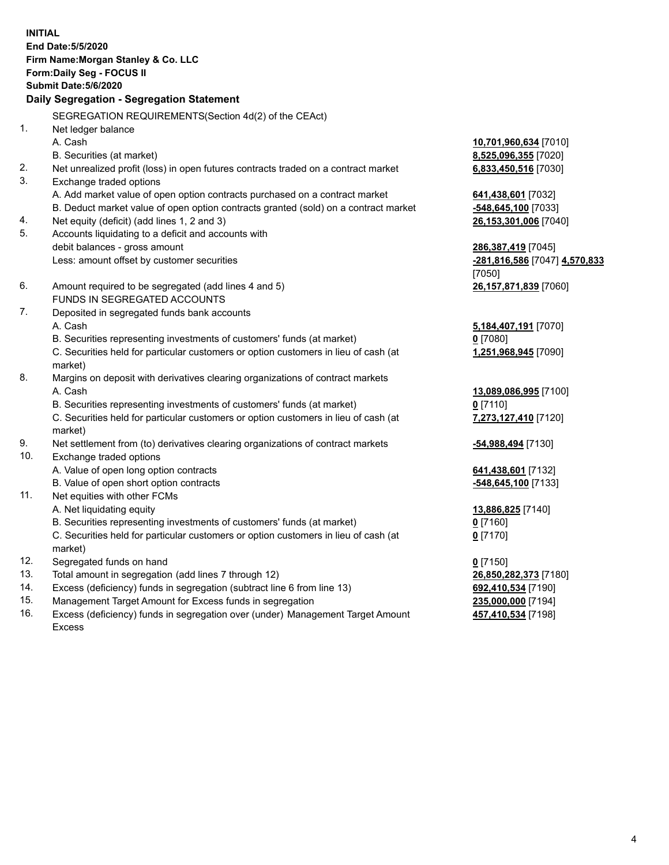|     | <b>INITIAL</b><br>End Date: 5/5/2020<br>Firm Name: Morgan Stanley & Co. LLC<br>Form: Daily Seg - FOCUS II<br><b>Submit Date: 5/6/2020</b><br>Daily Segregation - Segregation Statement |                               |
|-----|----------------------------------------------------------------------------------------------------------------------------------------------------------------------------------------|-------------------------------|
|     | SEGREGATION REQUIREMENTS(Section 4d(2) of the CEAct)                                                                                                                                   |                               |
| 1.  | Net ledger balance                                                                                                                                                                     |                               |
|     | A. Cash                                                                                                                                                                                | 10,701,960,634 [7010]         |
|     | B. Securities (at market)                                                                                                                                                              | 8,525,096,355 [7020]          |
| 2.  | Net unrealized profit (loss) in open futures contracts traded on a contract market                                                                                                     | 6,833,450,516 [7030]          |
| 3.  | Exchange traded options                                                                                                                                                                |                               |
|     | A. Add market value of open option contracts purchased on a contract market                                                                                                            | 641,438,601 [7032]            |
|     | B. Deduct market value of open option contracts granted (sold) on a contract market                                                                                                    | -548,645,100 [7033]           |
| 4.  | Net equity (deficit) (add lines 1, 2 and 3)                                                                                                                                            | 26,153,301,006 [7040]         |
| 5.  | Accounts liquidating to a deficit and accounts with                                                                                                                                    |                               |
|     | debit balances - gross amount                                                                                                                                                          | 286,387,419 [7045]            |
|     | Less: amount offset by customer securities                                                                                                                                             | -281,816,586 [7047] 4,570,833 |
|     |                                                                                                                                                                                        | [7050]                        |
| 6.  | Amount required to be segregated (add lines 4 and 5)                                                                                                                                   | 26,157,871,839 [7060]         |
|     | FUNDS IN SEGREGATED ACCOUNTS                                                                                                                                                           |                               |
| 7.  | Deposited in segregated funds bank accounts                                                                                                                                            |                               |
|     | A. Cash                                                                                                                                                                                | 5,184,407,191 [7070]          |
|     | B. Securities representing investments of customers' funds (at market)                                                                                                                 | $0$ [7080]                    |
|     | C. Securities held for particular customers or option customers in lieu of cash (at                                                                                                    | 1,251,968,945 [7090]          |
|     | market)                                                                                                                                                                                |                               |
| 8.  | Margins on deposit with derivatives clearing organizations of contract markets                                                                                                         |                               |
|     | A. Cash                                                                                                                                                                                | 13,089,086,995 [7100]         |
|     | B. Securities representing investments of customers' funds (at market)                                                                                                                 | $0$ [7110]                    |
|     | C. Securities held for particular customers or option customers in lieu of cash (at                                                                                                    | 7,273,127,410 [7120]          |
|     | market)                                                                                                                                                                                |                               |
| 9.  | Net settlement from (to) derivatives clearing organizations of contract markets                                                                                                        | -54,988,494 [7130]            |
| 10. | Exchange traded options                                                                                                                                                                |                               |
|     | A. Value of open long option contracts                                                                                                                                                 | 641,438,601 [7132]            |
|     | B. Value of open short option contracts                                                                                                                                                | -548,645,100 [7133]           |
| 11. | Net equities with other FCMs                                                                                                                                                           |                               |
|     | A. Net liquidating equity                                                                                                                                                              | 13,886,825 [7140]             |
|     | B. Securities representing investments of customers' funds (at market)                                                                                                                 | $0$ [7160]                    |
|     | C. Securities held for particular customers or option customers in lieu of cash (at<br>market)                                                                                         | $0$ [7170]                    |
| 12. | Segregated funds on hand                                                                                                                                                               | $0$ [7150]                    |
| 13. | Total amount in segregation (add lines 7 through 12)                                                                                                                                   | 26,850,282,373 [7180]         |
| 14. | Excess (deficiency) funds in segregation (subtract line 6 from line 13)                                                                                                                | 692,410,534 [7190]            |
|     |                                                                                                                                                                                        |                               |

15. Management Target Amount for Excess funds in segregation<br>16. Excess (deficiency) funds in segregation over (under) Manag Excess (deficiency) funds in segregation over (under) Management Target Amount Excess

**457,410,534** [7198]